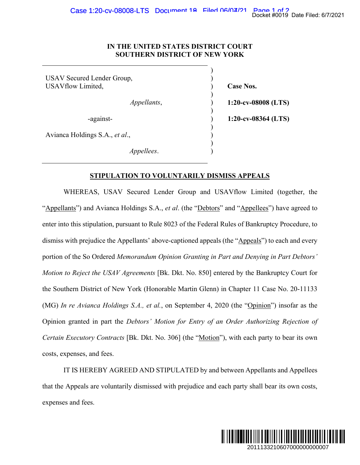## **IN THE UNITED STATES DISTRICT COURT SOUTHERN DISTRICT OF NEW YORK**

 $)$ USAV Secured Lender Group, ) USAVflow Limited,  $\qquad \qquad$  (ase Nos.  $)$  *Appellants*, ) **1:20-cv-08008 (LTS)**   $)$  -against- ) **1:20-cv-08364 (LTS)**   $)$ Avianca Holdings S.A., *et al*., )  $\overline{\phantom{a}}$ *Appellees*. )

## **STIPULATION TO VOLUNTARILY DISMISS APPEALS**

 WHEREAS, USAV Secured Lender Group and USAVflow Limited (together, the "Appellants") and Avianca Holdings S.A., *et al*. (the "Debtors" and "Appellees") have agreed to enter into this stipulation, pursuant to Rule 8023 of the Federal Rules of Bankruptcy Procedure, to dismiss with prejudice the Appellants' above-captioned appeals (the "Appeals") to each and every portion of the So Ordered *Memorandum Opinion Granting in Part and Denying in Part Debtors' Motion to Reject the USAV Agreements* [Bk. Dkt. No. 850] entered by the Bankruptcy Court for the Southern District of New York (Honorable Martin Glenn) in Chapter 11 Case No. 20-11133 (MG) *In re Avianca Holdings S.A., et al.*, on September 4, 2020 (the "Opinion") insofar as the Opinion granted in part the *Debtors' Motion for Entry of an Order Authorizing Rejection of Certain Executory Contracts* [Bk. Dkt. No. 306] (the "Motion"), with each party to bear its own costs, expenses, and fees. Docket #0019 Date Filed: 677/2021<br>
2011<br>
2013<br>
2013<br>
2013364 (LTS)<br>
2013364 (LTS)<br>
2013364 (LTS)<br>
2013<br>
2014<br>
2014<br>
2014<br>
2014<br>
2014<br>
2014<br>
2014<br>
2014<br>
2014<br>
2014<br>
2014<br>
2014<br>
2014<br>
2014<br>
2014<br>
2014<br>
2015<br>
2020<br>
2020<br>
2020

IT IS HEREBY AGREED AND STIPULATED by and between Appellants and Appellees that the Appeals are voluntarily dismissed with prejudice and each party shall bear its own costs, expenses and fees.